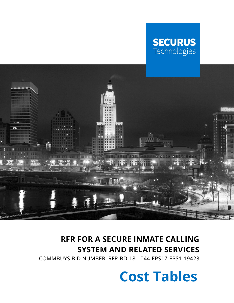# **SECURUS**<br>Technologies



### **RFR FOR A SECURE INMATE CALLING SYSTEM AND RELATED SERVICES**

COMMBUYS BID NUMBER: RFR-BD-18-1044-EPS17-EPS1-19423

**Cost Tables**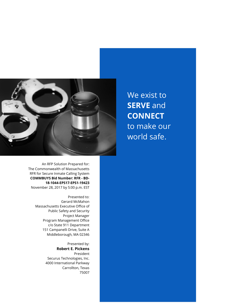

An RFP Solution Prepared for: The Commonwealth of Massachusetts RFR for Secure Inmate Calling System **COMMBUYS Bid Number: RFR - BD-18-1044-EPS17-EPS1-19423** November 28, 2017 by 5:00 p.m. EST

> Presented to: Gerard McMahon Massachusetts Executive Office of Public Safety and Security Project Manager Program Management Office c/o State 911 Department 151 Campanelli Drive, Suite A Middleborough, MA 02346

> > Presented by: **Robert E. Pickens** President Securus Technologies, Inc. 4000 International Parkway Carrollton, Texas 75007

We exist to **SERVE** and **CONNECT** to make our world safe.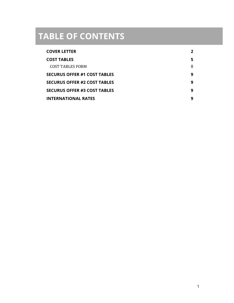### **TABLE OF CONTENTS**

| <b>COVER LETTER</b>                 |   |
|-------------------------------------|---|
| <b>COST TABLES</b>                  |   |
| COST TABLES FORM                    | 8 |
| <b>SECURUS OFFER #1 COST TABLES</b> | q |
| <b>SECURUS OFFER #2 COST TABLES</b> | q |
| <b>SECURUS OFFER #3 COST TABLES</b> | q |
| <b>INTERNATIONAL RATES</b>          | q |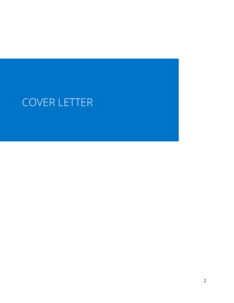## COVER LETTER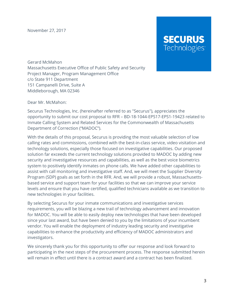November 27, 2017

### **SECURUS** Technologies<sup>®</sup>

Gerard McMahon Massachusetts Executive Office of Public Safety and Security Project Manager, Program Management Office c/o State 911 Department 151 Campanelli Drive, Suite A Middleborough, MA 02346

Dear Mr. McMahon:

Securus Technologies, Inc. (hereinafter referred to as "Securus"), appreciates the opportunity to submit our cost proposal to RFR – BD-18-1044-EPS17-EPS1-19423 related to Inmate Calling System and Related Services for the Commonwealth of Massachusetts Department of Correction ("MADOC").

With the details of this proposal, Securus is providing the most valuable selection of low calling rates and commissions, combined with the best-in-class service, video visitation and technology solutions, especially those focused on investigative capabilities. Our proposed solution far exceeds the current technology solutions provided to MADOC by adding new security and investigative resources and capabilities, as well as the best voice biometrics system to positively identify inmates on phone calls. We have added other capabilities to assist with call monitoring and investigative staff. And, we will meet the Supplier Diversity Program (SDP) goals as set forth in the RFR. And, we will provide a robust, Massachusettsbased service and support team for your facilities so that we can improve your service levels and ensure that you have certified, qualified technicians available as we transition to new technologies in your facilities.

By selecting Securus for your inmate communications and investigative services requirements, you will be blazing a new trail of technology advancement and innovation for MADOC. You will be able to easily deploy new technologies that have been developed since your last award, but have been denied to you by the limitations of your incumbent vendor. You will enable the deployment of industry leading security and investigative capabilities to enhance the productivity and efficiency of MADOC administrators and investigators.

We sincerely thank you for this opportunity to offer our response and look forward to participating in the next steps of the procurement process. The response submitted herein will remain in effect until there is a contract award and a contract has been finalized.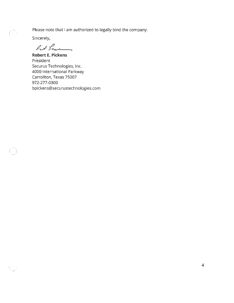Please note that I am authorized to legally bind the company.

Sincerely,

 $\bigcap$ 

At hu

**Robert E. Pickens** President Securus Technologies, Inc. 4000 International Parkway Carrollton, Texas 75007 972-277-0300 bpickens@securustechnologies.com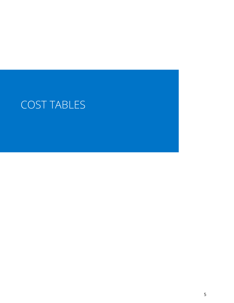## COST TABLES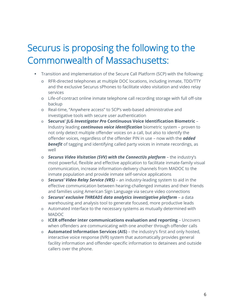### Securus is proposing the following to the Commonwealth of Massachusetts:

- Transition and implementation of the Secure Call Platform (SCP) with the following:
	- o RFR-directed telephones at multiple DOC locations, including inmate, TDD/TTY and the exclusive Securus sPhones to facilitate video visitation and video relay services
	- o Life-of-contract online inmate telephone call recording storage with full off-site backup
	- o Real-time, "Anywhere access" to SCP's web-based administrative and investigative tools with secure user authentication
	- o **Securus' JLG** *Investigator Pro* **Continuous Voice Identification Biometric** Industry leading *continuous voice identification* biometric system – proven to not only detect multiple offender voices on a call, but also to identify the offender voices, regardless of the offender PIN in use – now with the *added benefit* of tagging and identifying called party voices in inmate recordings, as well
	- o *Securus Video Visitation (SVV) with the ConnectUs platform* the industry's most powerful, flexible and effective application to facilitate inmate-family visual communication, increase information-delivery channels from MADOC to the inmate population and provide inmate self-service applications
	- o *Securus' Video Relay Service (VRS)* an industry-leading system to aid in the effective communication between hearing-challenged inmates and their friends and families using American Sign Language via secure video connections
	- o *Securus' exclusive THREADS data analytics investigative platform* a data warehousing and analysis tool to generate focused, more productive leads
	- o Automated interface to the necessary systems as mutually determined with MADOC
	- o **ICER offender inter communications evaluation and reporting**  Uncovers when offenders are communicating with one another through offender calls
	- o **Automated Information Services (AIS)** the industry's first and only hosted, interactive voice response (IVR) system that automatically provides general facility information and offender-specific information to detainees and outside callers over the phone.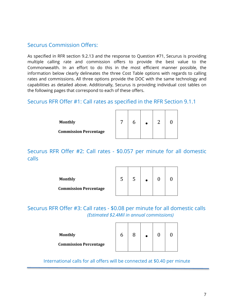#### Securus Commission Offers:

As specified in RFR section 9.2.13 and the response to Question #71, Securus is providing multiple calling rate and commission offers to provide the best value to the Commonwealth. In an effort to do this in the most efficient manner possible, the information below clearly delineates the three Cost Table options with regards to calling rates and commissions. All three options provide the DOC with the same technology and capabilities as detailed above. Additionally, Securus is providing individual cost tables on the following pages that correspond to each of these offers.

#### Securus RFR Offer #1: Call rates as specified in the RFR Section 9.1.1

| <b>Monthly</b>               |  | ⌒ |  |
|------------------------------|--|---|--|
| <b>Commission Percentage</b> |  |   |  |

Securus RFR Offer #2: Call rates - \$0.057 per minute for all domestic calls

| <b>Monthly</b>               | C. | C |  |  |
|------------------------------|----|---|--|--|
| <b>Commission Percentage</b> |    |   |  |  |

Securus RFR Offer #3: Call rates - \$0.08 per minute for all domestic calls *(Estimated \$2.4Mil in annual commissions)*

| <b>Monthly</b>               |  |  |  |
|------------------------------|--|--|--|
| <b>Commission Percentage</b> |  |  |  |

International calls for all offers will be connected at \$0.40 per minute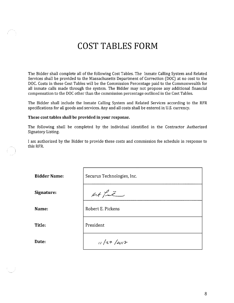### **COST TABLES FORM**

The Bidder shall complete all of the following Cost Tables. The Inmate Calling System and Related Services shall be provided to the Massachusetts Department of Correction (DOC) at no cost to the DOC. Costs in these Cost Tables will be the Commission Percentage paid to the Commonwealth for all inmate calls made through the system. The Bidder may not propose any additional financial compensation to the DOC other than the commission percentage outlined in the Cost Tables.

The Bidder shall include the Inmate Calling System and Related Services according to the RFR specifications for all goods and services. Any and all costs shall be entered in U.S. currency.

#### These cost tables shall be provided in your response.

The following shall be completed by the individual identified in the Contractor Authorized Signatory Listing.

I am authorized by the Bidder to provide these costs and commission fee schedule in response to this RFR.

| <b>Bidder Name:</b> | Securus Technologies, Inc. |
|---------------------|----------------------------|
| Signature:          | Atf                        |
| Name:               | Robert E. Pickens          |
| Title:              | President                  |
| Date:               | 11/27/2017                 |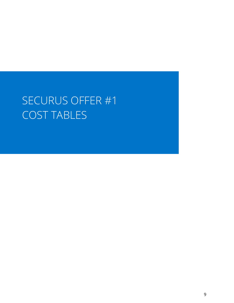## SECURUS OFFER #1 COST TABLES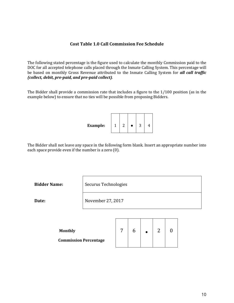#### **Cost Table 1.0 Call Commission Fee Schedule**

The following stated percentage is the figure used to calculate the monthly Commission paid to the DOC for all accepted telephone calls placed through the Inmate Calling System. This percentage will be based on monthly Gross Revenue attributed to the Inmate Calling System for *all call traffic (collect, debit, pre-paid, and pre-paid collect)*.

The Bidder shall provide a commission rate that includes a figure to the 1/100 position (as in the example below) to ensure that no ties will be possible from proposing Bidders.

The Bidder shall not leave any space in the following form blank. Insert an appropriate number into each space provide even if the number is a zero (0).

**Bidder Name:** Securus Technologies

**Date:** November 27, 2017

| <b>Monthly</b>               |  | ⌒ |  |
|------------------------------|--|---|--|
| <b>Commission Percentage</b> |  |   |  |

 $\Box$ 

┯

 $\top$ 

┯

 $\overline{\phantom{a}}$ 

┰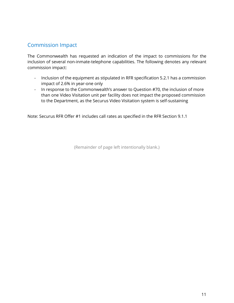#### Commission Impact

The Commonwealth has requested an indication of the impact to commissions for the inclusion of several non-inmate-telephone capabilities. The following denotes any relevant commission impact:

- Inclusion of the equipment as stipulated in RFR specification 5.2.1 has a commission impact of 2.6% in year-one only
- In response to the Commonwealth's answer to Question #70, the inclusion of more than one Video Visitation unit per facility does not impact the proposed commission to the Department, as the Securus Video Visitation system is self-sustaining

Note: Securus RFR Offer #1 includes call rates as specified in the RFR Section 9.1.1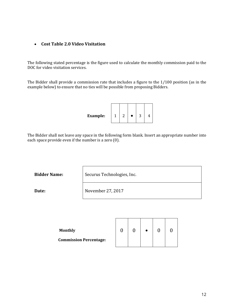#### • **Cost Table 2.0 Video Visitation**

The following stated percentage is the figure used to calculate the monthly commission paid to the DOC for video visitation services.

The Bidder shall provide a commission rate that includes a figure to the 1/100 position (as in the example below) to ensure that no ties will be possible from proposing Bidders.



The Bidder shall not leave any space in the following form blank. Insert an appropriate number into each space provide even if the number is a zero (0).

**Bidder Name:** Securus Technologies, Inc.

**Date:** November 27, 2017

| <b>Monthly</b>                |  |  |  |
|-------------------------------|--|--|--|
| <b>Commission Percentage:</b> |  |  |  |

 $\mathbf{I}$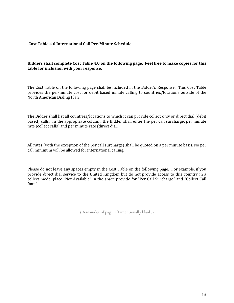#### **Cost Table 4.0 International Call Per-Minute Schedule**

#### **Bidders shall complete Cost Table 4.0 on the following page. Feel free to make copies for this table for inclusion with your response.**

The Cost Table on the following page shall be included in the Bidder's Response. This Cost Table provides the per-minute cost for debit based inmate calling to countries/locations outside of the North American Dialing Plan.

The Bidder shall list all countries/locations to which it can provide collect only or direct dial (debit based) calls. In the appropriate column, the Bidder shall enter the per call surcharge, per minute rate (collect calls) and per minute rate (direct dial).

All rates (with the exception of the per call surcharge) shall be quoted on a per minute basis. No per call minimum will be allowed for international calling.

Please do not leave any spaces empty in the Cost Table on the following page. For example, if you provide direct dial service to the United Kingdom but do not provide access to this country in a collect mode, place "Not Available" in the space provide for "Per Call Surcharge" and "Collect Call Rate".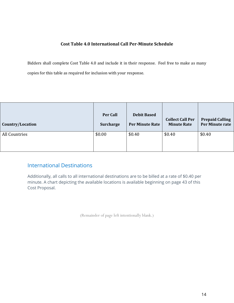#### **Cost Table 4.0 International Call Per-Minute Schedule**

Bidders shall complete Cost Table 4.0 and include it in their response. Feel free to make as many copies for this table as required for inclusion with your response.

| Country/Location | <b>Per Call</b>  | <b>Debit Based</b> | <b>Collect Call Per</b> | <b>Prepaid Calling</b> |
|------------------|------------------|--------------------|-------------------------|------------------------|
|                  | <b>Surcharge</b> | Per Minute Rate    | <b>Minute Rate</b>      | Per Minute rate        |
| All Countries    | \$0.00           | \$0.40             | \$0.40                  | \$0.40                 |

#### International Destinations

Additionally, all calls to all international destinations are to be billed at a rate of \$0.40 per minute. A chart depicting the available locations is available beginning on page 43 of this Cost Proposal.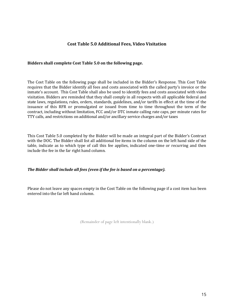#### **Cost Table 5.0 Additional Fees, Video Visitation**

#### **Bidders shall complete Cost Table 5.0 on the following page.**

The Cost Table on the following page shall be included in the Bidder's Response. This Cost Table requires that the Bidder identify all fees and costs associated with the called party's invoice or the inmate's account. This Cost Table shall also be used to identify fees and costs associated with video visitation. Bidders are reminded that they shall comply in all respects with all applicable federal and state laws, regulations, rules, orders, standards, guidelines, and/or tariffs in effect at the time of the issuance of this RFR or promulgated or issued from time to time throughout the term of the contract, including without limitation, FCC and/or DTC inmate calling rate caps, per minute rates for TTY calls, and restrictions on additional and/or ancillary service charges and/or taxes

This Cost Table 5.0 completed by the Bidder will be made an integral part of the Bidder's Contract with the DOC. The Bidder shall list all additional fee items in the column on the left hand side of the table, indicate as to which type of call this fee applies, indicated one-time or recurring and then include the fee in the far right hand column.

#### *The Bidder shall include all fees (even if the fee is based on a percentage).*

Please do not leave any spaces empty in the Cost Table on the following page if a cost item has been entered into the far left hand column.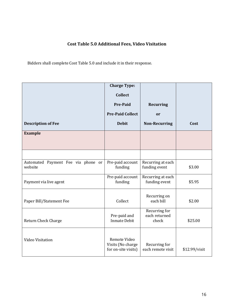#### **Cost Table 5.0 Additional Fees, Video Visitation**

Bidders shall complete Cost Table 5.0 and include it in their response.

|                                               | <b>Charge Type:</b>                                      |                                         |               |
|-----------------------------------------------|----------------------------------------------------------|-----------------------------------------|---------------|
|                                               | <b>Collect</b>                                           |                                         |               |
|                                               | <b>Pre-Paid</b>                                          | <b>Recurring</b>                        |               |
|                                               | <b>Pre-Paid Collect</b>                                  | <b>or</b>                               |               |
| <b>Description of Fee</b>                     | <b>Debit</b>                                             | <b>Non-Recurring</b>                    | Cost          |
| <b>Example</b>                                |                                                          |                                         |               |
|                                               |                                                          |                                         |               |
| Automated Payment Fee via phone or<br>website | Pre-paid account<br>funding                              | Recurring at each<br>funding event      | \$3.00        |
| Payment via live agent                        | Pre-paid account<br>funding                              | Recurring at each<br>funding event      | \$5.95        |
| Paper Bill/Statement Fee                      | Collect                                                  | Recurring on<br>each bill               | \$2.00        |
| Return Check Charge                           | Pre-paid and<br><b>Inmate Debit</b>                      | Recurring for<br>each returned<br>check | \$25.00       |
| Video Visitation                              | Remote Video<br>Visits (No charge<br>for on-site visits) | Recurring for<br>each remote visit      | \$12.99/visit |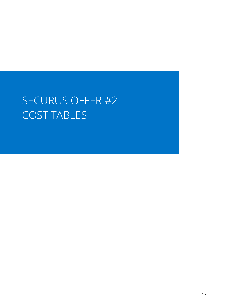## SECURUS OFFER #2 COST TABLES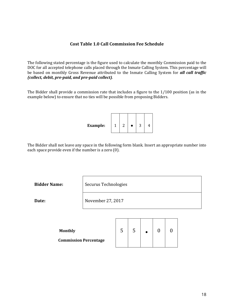#### **Cost Table 1.0 Call Commission Fee Schedule**

The following stated percentage is the figure used to calculate the monthly Commission paid to the DOC for all accepted telephone calls placed through the Inmate Calling System. This percentage will be based on monthly Gross Revenue attributed to the Inmate Calling System for *all call traffic (collect, debit, pre-paid, and pre-paid collect)*.

The Bidder shall provide a commission rate that includes a figure to the 1/100 position (as in the example below) to ensure that no ties will be possible from proposing Bidders.

The Bidder shall not leave any space in the following form blank. Insert an appropriate number into each space provide even if the number is a zero (0).

**Bidder Name:** Securus Technologies

**Date:** November 27, 2017

| <b>Monthly</b>               | ĸ. |  |  |
|------------------------------|----|--|--|
| <b>Commission Percentage</b> |    |  |  |

 $\Box$ 

┯

┯

┯

 $\overline{\phantom{a}}$ 

┰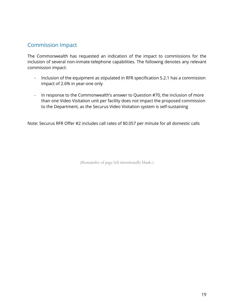#### Commission Impact

The Commonwealth has requested an indication of the impact to commissions for the inclusion of several non-inmate-telephone capabilities. The following denotes any relevant commission impact:

- Inclusion of the equipment as stipulated in RFR specification 5.2.1 has a commission impact of 2.6% in year-one only
- In response to the Commonwealth's answer to Question #70, the inclusion of more than one Video Visitation unit per facility does not impact the proposed commission to the Department, as the Securus Video Visitation system is self-sustaining

Note: Securus RFR Offer #2 includes call rates of \$0.057 per minute for all domestic calls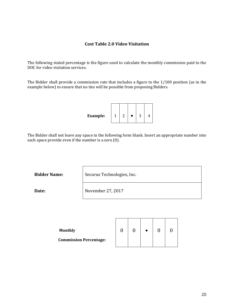#### **Cost Table 2.0 Video Visitation**

The following stated percentage is the figure used to calculate the monthly commission paid to the DOC for video visitation services.

The Bidder shall provide a commission rate that includes a figure to the 1/100 position (as in the example below) to ensure that no ties will be possible from proposing Bidders.



The Bidder shall not leave any space in the following form blank. Insert an appropriate number into each space provide even if the number is a zero (0).

**Bidder Name:** Securus Technologies, Inc.

**Date:** November 27, 2017

| <b>Monthly</b>                |  |  |  |
|-------------------------------|--|--|--|
| <b>Commission Percentage:</b> |  |  |  |

 $\mathbf{I}$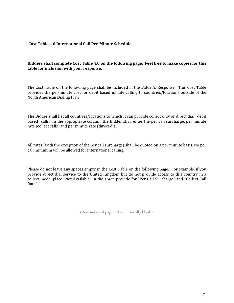#### **Cost Table 4.0 International Call Per-Minute Schedule**

#### **Bidders shall complete Cost Table 4.0 on the following page. Feel free to make copies for this table for inclusion with your response.**

The Cost Table on the following page shall be included in the Bidder's Response. This Cost Table provides the per-minute cost for debit based inmate calling to countries/locations outside of the North American Dialing Plan.

The Bidder shall list all countries/locations to which it can provide collect only or direct dial (debit based) calls. In the appropriate column, the Bidder shall enter the per call surcharge, per minute rate (collect calls) and per minute rate (direct dial).

All rates (with the exception of the per call surcharge) shall be quoted on a per minute basis. No per call minimum will be allowed for international calling.

Please do not leave any spaces empty in the Cost Table on the following page. For example, if you provide direct dial service to the United Kingdom but do not provide access to this country in a collect mode, place "Not Available" in the space provide for "Per Call Surcharge" and "Collect Call Rate".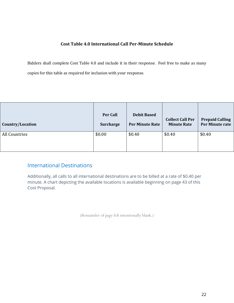#### **Cost Table 4.0 International Call Per-Minute Schedule**

Bidders shall complete Cost Table 4.0 and include it in their response. Feel free to make as many copies for this table as required for inclusion with your response.

| Country/Location | <b>Per Call</b>  | <b>Debit Based</b> | <b>Collect Call Per</b> | <b>Prepaid Calling</b> |
|------------------|------------------|--------------------|-------------------------|------------------------|
|                  | <b>Surcharge</b> | Per Minute Rate    | <b>Minute Rate</b>      | Per Minute rate        |
| All Countries    | \$0.00           | \$0.40             | \$0.40                  | \$0.40                 |

#### International Destinations

Additionally, all calls to all international destinations are to be billed at a rate of \$0.40 per minute. A chart depicting the available locations is available beginning on page 43 of this Cost Proposal.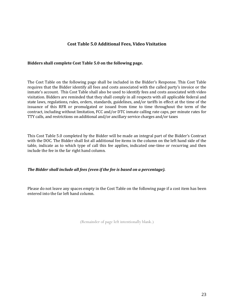#### **Cost Table 5.0 Additional Fees, Video Visitation**

#### **Bidders shall complete Cost Table 5.0 on the following page.**

The Cost Table on the following page shall be included in the Bidder's Response. This Cost Table requires that the Bidder identify all fees and costs associated with the called party's invoice or the inmate's account. This Cost Table shall also be used to identify fees and costs associated with video visitation. Bidders are reminded that they shall comply in all respects with all applicable federal and state laws, regulations, rules, orders, standards, guidelines, and/or tariffs in effect at the time of the issuance of this RFR or promulgated or issued from time to time throughout the term of the contract, including without limitation, FCC and/or DTC inmate calling rate caps, per minute rates for TTY calls, and restrictions on additional and/or ancillary service charges and/or taxes

This Cost Table 5.0 completed by the Bidder will be made an integral part of the Bidder's Contract with the DOC. The Bidder shall list all additional fee items in the column on the left hand side of the table, indicate as to which type of call this fee applies, indicated one-time or recurring and then include the fee in the far right hand column.

#### *The Bidder shall include all fees (even if the fee is based on a percentage).*

Please do not leave any spaces empty in the Cost Table on the following page if a cost item has been entered into the far left hand column.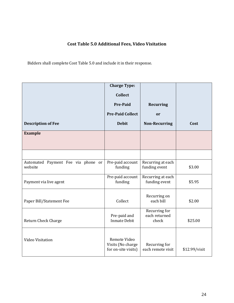#### **Cost Table 5.0 Additional Fees, Video Visitation**

Bidders shall complete Cost Table 5.0 and include it in their response.

|                                               | <b>Charge Type:</b>                                      |                                         |               |
|-----------------------------------------------|----------------------------------------------------------|-----------------------------------------|---------------|
|                                               | <b>Collect</b>                                           |                                         |               |
|                                               | <b>Pre-Paid</b>                                          | <b>Recurring</b>                        |               |
|                                               | <b>Pre-Paid Collect</b>                                  | <b>or</b>                               |               |
| <b>Description of Fee</b>                     | <b>Debit</b>                                             | <b>Non-Recurring</b>                    | Cost          |
| <b>Example</b>                                |                                                          |                                         |               |
|                                               |                                                          |                                         |               |
| Automated Payment Fee via phone or<br>website | Pre-paid account<br>funding                              | Recurring at each<br>funding event      | \$3.00        |
| Payment via live agent                        | Pre-paid account<br>funding                              | Recurring at each<br>funding event      | \$5.95        |
| Paper Bill/Statement Fee                      | Collect                                                  | Recurring on<br>each bill               | \$2.00        |
| Return Check Charge                           | Pre-paid and<br><b>Inmate Debit</b>                      | Recurring for<br>each returned<br>check | \$25.00       |
| Video Visitation                              | Remote Video<br>Visits (No charge<br>for on-site visits) | Recurring for<br>each remote visit      | \$12.99/visit |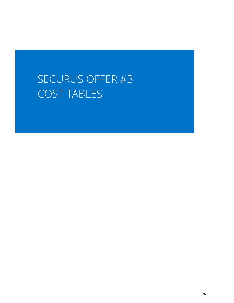### SECURUS OFFER #3 COST TABLES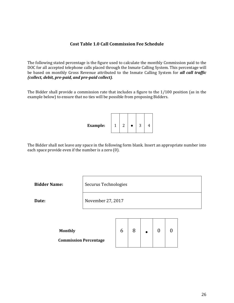#### **Cost Table 1.0 Call Commission Fee Schedule**

The following stated percentage is the figure used to calculate the monthly Commission paid to the DOC for all accepted telephone calls placed through the Inmate Calling System. This percentage will be based on monthly Gross Revenue attributed to the Inmate Calling System for *all call traffic (collect, debit, pre-paid, and pre-paid collect)*.

The Bidder shall provide a commission rate that includes a figure to the 1/100 position (as in the example below) to ensure that no ties will be possible from proposing Bidders.

| <b>Example:</b> | 1 | ⌒ |  |  |  |  |
|-----------------|---|---|--|--|--|--|
|-----------------|---|---|--|--|--|--|

The Bidder shall not leave any space in the following form blank. Insert an appropriate number into each space provide even if the number is a zero (0).

**Bidder Name:** Securus Technologies

**Date:** November 27, 2017

| <b>Monthly</b>               |  |  |  |
|------------------------------|--|--|--|
| <b>Commission Percentage</b> |  |  |  |

 $\Box$ 

 $\top$ 

 $\overline{\phantom{a}}$ 

Τ

┯

┯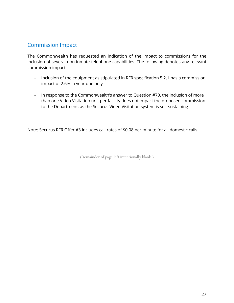#### Commission Impact

The Commonwealth has requested an indication of the impact to commissions for the inclusion of several non-inmate-telephone capabilities. The following denotes any relevant commission impact:

- Inclusion of the equipment as stipulated in RFR specification 5.2.1 has a commission impact of 2.6% in year-one only
- In response to the Commonwealth's answer to Question #70, the inclusion of more than one Video Visitation unit per facility does not impact the proposed commission to the Department, as the Securus Video Visitation system is self-sustaining

Note: Securus RFR Offer #3 includes call rates of \$0.08 per minute for all domestic calls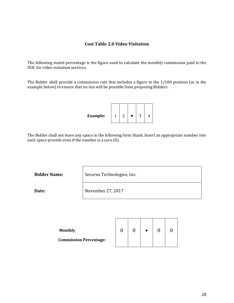#### **Cost Table 2.0 Video Visitation**

The following stated percentage is the figure used to calculate the monthly commission paid to the DOC for video visitation services.

The Bidder shall provide a commission rate that includes a figure to the 1/100 position (as in the example below) to ensure that no ties will be possible from proposing Bidders.



The Bidder shall not leave any space in the following form blank. Insert an appropriate number into each space provide even if the number is a zero (0).

**Bidder Name:** Securus Technologies, Inc.

**Date:** November 27, 2017

| <b>Monthly</b>                |  |  |  |
|-------------------------------|--|--|--|
| <b>Commission Percentage:</b> |  |  |  |

 $\mathbf{I}$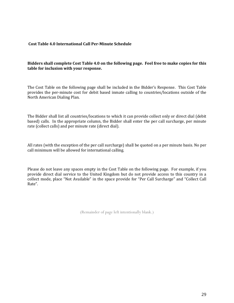#### **Cost Table 4.0 International Call Per-Minute Schedule**

#### **Bidders shall complete Cost Table 4.0 on the following page. Feel free to make copies for this table for inclusion with your response.**

The Cost Table on the following page shall be included in the Bidder's Response. This Cost Table provides the per-minute cost for debit based inmate calling to countries/locations outside of the North American Dialing Plan.

The Bidder shall list all countries/locations to which it can provide collect only or direct dial (debit based) calls. In the appropriate column, the Bidder shall enter the per call surcharge, per minute rate (collect calls) and per minute rate (direct dial).

All rates (with the exception of the per call surcharge) shall be quoted on a per minute basis. No per call minimum will be allowed for international calling.

Please do not leave any spaces empty in the Cost Table on the following page. For example, if you provide direct dial service to the United Kingdom but do not provide access to this country in a collect mode, place "Not Available" in the space provide for "Per Call Surcharge" and "Collect Call Rate".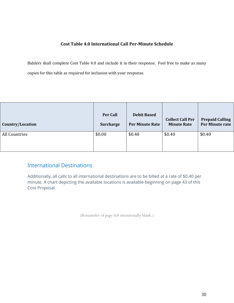#### **Cost Table 4.0 International Call Per-Minute Schedule**

Bidders shall complete Cost Table 4.0 and include it in their response. Feel free to make as many copies for this table as required for inclusion with your response.

| Country/Location | <b>Per Call</b>  | <b>Debit Based</b> | <b>Collect Call Per</b> | <b>Prepaid Calling</b> |
|------------------|------------------|--------------------|-------------------------|------------------------|
|                  | <b>Surcharge</b> | Per Minute Rate    | <b>Minute Rate</b>      | Per Minute rate        |
| All Countries    | \$0.00           | \$0.40             | \$0.40                  | \$0.40                 |

#### International Destinations

Additionally, all calls to all international destinations are to be billed at a rate of \$0.40 per minute. A chart depicting the available locations is available beginning on page 43 of this Cost Proposal.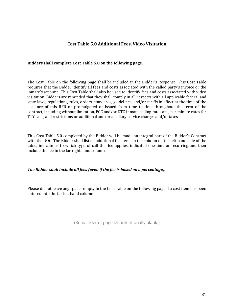#### **Cost Table 5.0 Additional Fees, Video Visitation**

#### **Bidders shall complete Cost Table 5.0 on the following page.**

The Cost Table on the following page shall be included in the Bidder's Response. This Cost Table requires that the Bidder identify all fees and costs associated with the called party's invoice or the inmate's account. This Cost Table shall also be used to identify fees and costs associated with video visitation. Bidders are reminded that they shall comply in all respects with all applicable federal and state laws, regulations, rules, orders, standards, guidelines, and/or tariffs in effect at the time of the issuance of this RFR or promulgated or issued from time to time throughout the term of the contract, including without limitation, FCC and/or DTC inmate calling rate caps, per minute rates for TTY calls, and restrictions on additional and/or ancillary service charges and/or taxes

This Cost Table 5.0 completed by the Bidder will be made an integral part of the Bidder's Contract with the DOC. The Bidder shall list all additional fee items in the column on the left hand side of the table, indicate as to which type of call this fee applies, indicated one-time or recurring and then include the fee in the far right hand column.

#### *The Bidder shall include all fees (even if the fee is based on a percentage).*

Please do not leave any spaces empty in the Cost Table on the following page if a cost item has been entered into the far left hand column.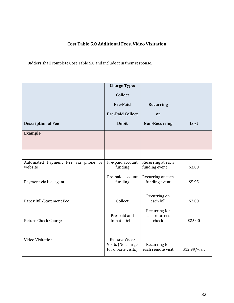#### **Cost Table 5.0 Additional Fees, Video Visitation**

Bidders shall complete Cost Table 5.0 and include it in their response.

|                                               | <b>Charge Type:</b>                                      |                                         |               |
|-----------------------------------------------|----------------------------------------------------------|-----------------------------------------|---------------|
|                                               | <b>Collect</b>                                           |                                         |               |
|                                               | <b>Pre-Paid</b>                                          | <b>Recurring</b>                        |               |
|                                               | <b>Pre-Paid Collect</b>                                  | <b>or</b>                               |               |
| <b>Description of Fee</b>                     | <b>Debit</b>                                             | <b>Non-Recurring</b>                    | Cost          |
| <b>Example</b>                                |                                                          |                                         |               |
|                                               |                                                          |                                         |               |
| Automated Payment Fee via phone or<br>website | Pre-paid account<br>funding                              | Recurring at each<br>funding event      | \$3.00        |
| Payment via live agent                        | Pre-paid account<br>funding                              | Recurring at each<br>funding event      | \$5.95        |
| Paper Bill/Statement Fee                      | Collect                                                  | Recurring on<br>each bill               | \$2.00        |
| Return Check Charge                           | Pre-paid and<br><b>Inmate Debit</b>                      | Recurring for<br>each returned<br>check | \$25.00       |
| Video Visitation                              | Remote Video<br>Visits (No charge<br>for on-site visits) | Recurring for<br>each remote visit      | \$12.99/visit |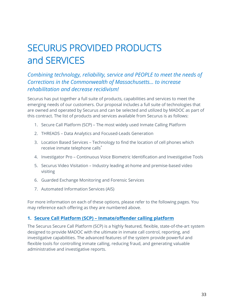### SECURUS PROVIDED PRODUCTS and SERVICES

#### *Combining technology, reliability, service and PEOPLE to meet the needs of Corrections in the Commonwealth of Massachusetts... to increase rehabilitation and decrease recidivism!*

Securus has put together a full suite of products, capabilities and services to meet the emerging needs of our customers. Our proposal includes a full suite of technologies that are owned and operated by Securus and can be selected and utilized by MADOC as part of this contract. The list of products and services available from Securus is as follows:

- 1. Secure Call Platform (SCP) The most widely used Inmate Calling Platform
- 2. THREADS Data Analytics and Focused-Leads Generation
- 3. Location Based Services Technology to find the location of cell phones which receive inmate telephone calls\*
- 4. Investigator Pro Continuous Voice Biometric Identification and Investigative Tools
- 5. Securus Video Visitation Industry leading at-home and premise-based video visiting
- 6. Guarded Exchange Monitoring and Forensic Services
- 7. Automated Information Services (AIS)

For more information on each of these options, please refer to the following pages. You may reference each offering as they are numbered above.

#### **1. Secure Call Platform (SCP) – Inmate/offender calling platform**

The Securus Secure Call Platform (SCP) is a highly featured, flexible, state-of-the-art system designed to provide MADOC with the ultimate in inmate call control, reporting, and investigative capabilities. The advanced features of the system provide powerful and flexible tools for controlling inmate calling, reducing fraud, and generating valuable administrative and investigative reports.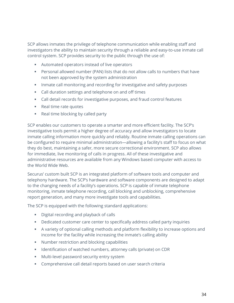SCP allows inmates the privilege of telephone communication while enabling staff and investigators the ability to maintain security through a reliable and easy-to-use inmate call control system. SCP provides security to the public through the use of:

- Automated operators instead of live operators
- Personal allowed number (PAN) lists that do not allow calls to numbers that have not been approved by the system administration
- **Inmate call monitoring and recording for investigative and safety purposes**
- **EXEC** Call duration settings and telephone on and off times
- Call detail records for investigative purposes, and fraud control features
- **Real time rate quotes**
- Real time blocking by called party

SCP enables our customers to operate a smarter and more efficient facility. The SCP's investigative tools permit a higher degree of accuracy and allow investigators to locate inmate calling information more quickly and reliably. Routine inmate calling operations can be configured to require minimal administration—allowing a facility's staff to focus on what they do best, maintaining a safer, more secure correctional environment. SCP also allows for immediate, live monitoring of calls in progress. All of these investigative and administrative resources are available from any Windows based computer with access to the World Wide Web.

Securus' custom built SCP is an integrated platform of software tools and computer and telephony hardware. The SCP's hardware and software components are designed to adapt to the changing needs of a facility's operations. SCP is capable of inmate telephone monitoring, inmate telephone recording, call blocking and unblocking, comprehensive report generation, and many more investigate tools and capabilities.

The SCP is equipped with the following standard applications:

- Digital recording and playback of calls
- Dedicated customer care center to specifically address called party inquiries
- A variety of optional calling methods and platform flexibility to increase options and income for the facility while increasing the inmate's calling ability
- Number restriction and blocking capabilities
- **IDENTIFICATED IS UPSTER 15 IDENTIFIES IS CONTENT** IDENTIFIES IN CORTABLE **I**n the Interaction of CDR
- **Multi-level password security entry system**
- Comprehensive call detail reports based on user search criteria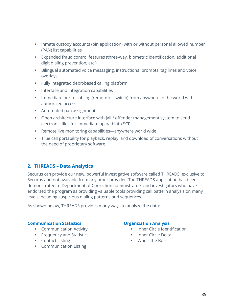- **Inmate custody accounts (pin application) with or without personal allowed number** (PAN) list capabilities
- Expanded fraud control features (three-way, biometric identification, additional digit dialing prevention, etc.)
- Bilingual automated voice messaging, instructional prompts, tag lines and voice overlays
- **Fully integrated debit-based calling platform**
- **Interface and integration capabilities**
- **IMMED 19 FEDE** Immediate port disabling (remote kill switch) from anywhere in the world with authorized access
- Automated pan assignment
- **•** Open architecture interface with jail / offender management system to send electronic files for immediate upload into SCP
- Remote live monitoring capabilities—anywhere world wide
- True call portability for playback, replay, and download of conversations without the need of proprietary software

#### **2. THREADS – Data Analytics**

Securus can provide our new, powerful investigative software called THREADS, exclusive to Securus and not available from any other provider. The THREADS application has been demonstrated to Department of Correction administrators and investigators who have endorsed the program as providing valuable tools providing call pattern analysis on many levels including suspicious dialing patterns and sequences.

As shown below, THREADS provides many ways to analyze the data:

#### **Communication Statistics**

- **Communication Activity**
- **Frequency and Statistics**
- **Contact Listing**
- **Communication Listing**

#### **Organization Analysis**

- Inner Circle Identification
- **Inner Circle Delta**
- Who's the Boss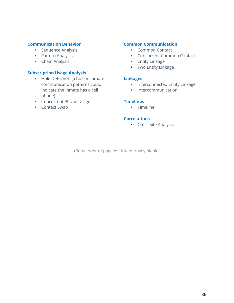#### **Communication Behavior**

- **Sequence Analysis**
- **Pattern Analysis**
- **Chain Analysis**

#### **Subscription Usage Analysis**

- Hole Detection (a hole in inmate communication patterns could indicate the inmate has a cell phone)
- **Concurrent Phone Usage**
- Contact Swap

#### **Common Communication**

- **Common Contact**
- **Concurrent Common Contact**
- **Entity Linkage**
- **Two Entity Linkage**

#### **Linkages**

- **Interconnected Entity Linkage**
- **Intercommunication**

#### **Timelines**

**Timeline** 

#### **Correlations**

Cross Site Analysis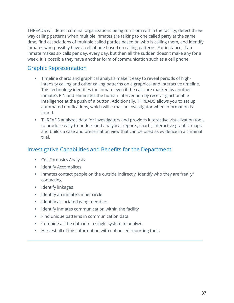THREADS will detect criminal organizations being run from within the facility, detect threeway calling patterns when multiple inmates are talking to one called party at the same time, find associations of multiple called parties based on who is calling them, and identify inmates who possibly have a cell phone based on calling patterns. For instance, if an inmate makes six calls per day, every day, but then all the sudden doesn't make any for a week, it is possible they have another form of communication such as a cell phone.

#### Graphic Representation

- **Timeline charts and graphical analysis make it easy to reveal periods of high**intensity calling and other calling patterns on a graphical and interactive timeline. This technology identifies the inmate even if the calls are masked by another inmate's PIN and eliminates the human intervention by receiving actionable intelligence at the push of a button. Additionally, THREADS allows you to set up automated notifications, which will e-mail an investigator when information is found.
- **THREADS** analyzes data for investigators and provides interactive visualization tools to produce easy-to-understand analytical reports, charts, interactive graphs, maps, and builds a case and presentation view that can be used as evidence in a criminal trial.

#### Investigative Capabilities and Benefits for the Department

- **Cell Forensics Analysis**
- **Identify Accomplices**
- Inmates contact people on the outside indirectly, Identify who they are "really" contacting
- **I** Identify linkages
- **If Identify an inmate's inner circle**
- **IDENTIFY ASSOCIATED STARGED MEMBERS**
- **IDENTIFY INTERS COMMUNICATION Within the facility**
- **Find unique patterns in communication data**
- **Combine all the data into a single system to analyze**
- **Harvest all of this information with enhanced reporting tools**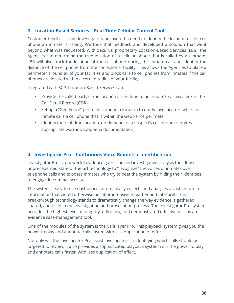#### **3. Location-Based Services – Real Time Cellular Control Tool**\*

Customer feedback from investigators uncovered a need to identify the location of the cell phone an inmate is calling. We took that feedback and developed a solution that went beyond what was requested. With Securus' proprietary Location-Based Services (LBS), the Agencies can determine the true location of a cellular phone that is called by an inmate. LBS will also track the location of the cell phone during the inmate call and identify the distance of the cell phone from the correctional facility. This allows the Agencies to place a perimeter around all of your facilities and block calls to cell phones from inmates if the cell phones are located within a certain radius of your facility.

Integrated with SCP, Location-Based Services can:

- Provide the called party's true location at the time of an inmate's call via a link in the Call Detail Record (CDR)
- Set up a "Geo Fence" perimeter around a location to notify investigators when an inmate calls a cell phone that is within the Geo Fence perimeter
- **If all identify the real-time location, on demand, of a suspect's cell phone (requires** appropriate warrant/subpoena documentation)

#### **4. Investigator Pro – Continuous Voice Biometric Identification**

Investigator Pro is a powerful evidence-gathering and investigative analysis tool. It uses unprecedented state-of-the-art technology to "recognize" the voices of inmates over telephone calls and exposes inmates who try to beat the system by hiding their identities to engage in criminal activity.

The system's easy-to-use dashboard automatically collects and analyzes a vast amount of information that would otherwise be labor-intensive to gather and interpret. This breakthrough technology stands to dramatically change the way evidence is gathered, shared, and used in the investigation and prosecution process. The Investigator Pro system provides the highest level of integrity, efficiency, and demonstrated effectiveness as an evidence case-management tool.

One of the modules of the system is the CallPlayer Pro. This playback system gives you the power to play and annotate calls faster, with less duplication of effort.

Not only will the Investigator Pro assist investigators in identifying which calls should be targeted to review, it also provides a sophisticated playback system with the power to play and annotate calls faster, with less duplication of effort.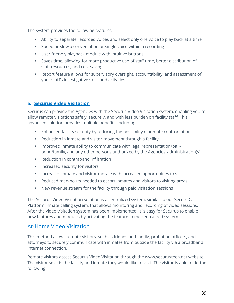The system provides the following features:

- Ability to separate recorded voices and select only one voice to play back at a time
- Speed or slow a conversation or single voice within a recording
- User friendly playback module with intuitive buttons
- Saves time, allowing for more productive use of staff time, better distribution of staff resources, and cost savings
- Report feature allows for supervisory oversight, accountability, and assessment of your staff's investigative skills and activities

#### **5. Securus Video Visitation**

Securus can provide the Agencies with the Securus Video Visitation system, enabling you to allow remote visitations safely, securely, and with less burden on facility staff. This advanced solution provides multiple benefits, including:

- Enhanced facility security by reducing the possibility of inmate confrontation
- **EXE** Reduction in inmate and visitor movement through a facility
- Improved inmate ability to communicate with legal representation/bailbond/family, and any other persons authorized by the Agencies' administration(s)
- Reduction in contraband infiltration
- **Increased security for visitors**
- **Increased inmate and visitor morale with increased opportunities to visit**
- Reduced man-hours needed to escort inmates and visitors to visiting areas
- New revenue stream for the facility through paid visitation sessions

The Securus Video Visitation solution is a centralized system, similar to our Secure Call Platform inmate calling system, that allows monitoring and recording of video sessions. After the video visitation system has been implemented, it is easy for Securus to enable new features and modules by activating the feature in the centralized system.

#### At-Home Video Visitation

This method allows remote visitors, such as friends and family, probation officers, and attorneys to securely communicate with inmates from outside the facility via a broadband Internet connection.

Remote visitors access Securus Video Visitation through the [www.securustech.net](http://www.securustech.net/) website. The visitor selects the facility and inmate they would like to visit. The visitor is able to do the following: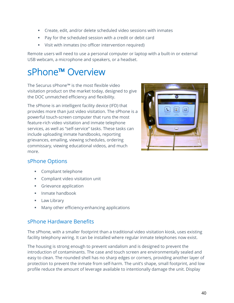- Create, edit, and/or delete scheduled video sessions with inmates
- Pay for the scheduled session with a credit or debit card
- Visit with inmates (no officer intervention required)

Remote users will need to use a personal computer or laptop with a built-in or external USB webcam, a microphone and speakers, or a headset.

### sPhone™ Overview

The Securus sPhone™ is the most flexible video visitation product on the market today, designed to give the DOC unmatched efficiency and flexibility.

The sPhone is an intelligent facility device (IFD) that provides more than just video visitation. The sPhone is a powerful touch-screen computer that runs the most feature-rich video visitation and inmate telephone services, as well as "self-service" tasks. These tasks can include uploading inmate handbooks, reporting grievances, emailing, viewing schedules, ordering commissary, viewing educational videos, and much more.



#### sPhone Options

- **Compliant telephone**
- **Compliant video visitation unit**
- **Grievance application**
- $\blacksquare$  Inmate handbook
- **Law Library**
- **Many other efficiency-enhancing applications**

#### sPhone Hardware Benefits

The sPhone, with a smaller footprint than a traditional video visitation kiosk, uses existing facility telephony wiring. It can be installed where regular inmate telephones now exist.

The housing is strong enough to prevent vandalism and is designed to prevent the introduction of contaminants. The case and touch screen are environmentally sealed and easy to clean. The rounded shell has no sharp edges or corners, providing another layer of protection to prevent the inmate from self-harm. The unit's shape, small footprint, and low profile reduce the amount of leverage available to intentionally damage the unit. Display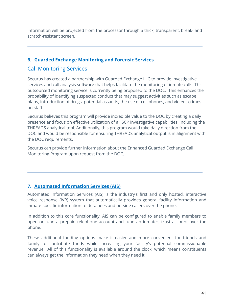information will be projected from the processor through a thick, transparent, break- and scratch-resistant screen.

#### **6. Guarded Exchange Monitoring and Forensic Services**

#### Call Monitoring Services

Securus has created a partnership with Guarded Exchange LLC to provide investigative services and call analysis software that helps facilitate the monitoring of inmate calls. This outsourced monitoring service is currently being proposed to the DOC. This enhances the probability of identifying suspected conduct that may suggest activities such as escape plans, introduction of drugs, potential assaults, the use of cell phones, and violent crimes on staff.

Securus believes this program will provide incredible value to the DOC by creating a daily presence and focus on effective utilization of all SCP investigative capabilities, including the THREADS analytical tool. Additionally, this program would take daily direction from the DOC and would be responsible for ensuring THREADS analytical output is in alignment with the DOC requirements.

Securus can provide further information about the Enhanced Guarded Exchange Call Monitoring Program upon request from the DOC.

#### **7. Automated Information Services (AIS)**

Automated Information Services (AIS) is the industry's first and only hosted, interactive voice response (IVR) system that automatically provides general facility information and inmate-specific information to detainees and outside callers over the phone.

In addition to this core functionality, AIS can be configured to enable family members to open or fund a prepaid telephone account and fund an inmate's trust account over the phone.

These additional funding options make it easier and more convenient for friends and family to contribute funds while increasing your facility's potential commissionable revenue. All of this functionality is available around the clock, which means constituents can always get the information they need when they need it.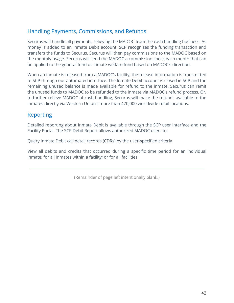#### Handling Payments, Commissions, and Refunds

Securus will handle all payments, relieving the MADOC from the cash handling business. As money is added to an Inmate Debit account, SCP recognizes the funding transaction and transfers the funds to Securus. Securus will then pay commissions to the MADOC based on the monthly usage. Securus will send the MADOC a commission check each month that can be applied to the general fund or inmate welfare fund based on MADOC's direction.

When an inmate is released from a MADOC's facility, the release information is transmitted to SCP through our automated interface. The Inmate Debit account is closed in SCP and the remaining unused balance is made available for refund to the inmate. Securus can remit the unused funds to MADOC to be refunded to the inmate via MADOC's refund process. Or, to further relieve MADOC of cash-handling, Securus will make the refunds available to the inmates directly via Western Union's more than 470,000 worldwide retail locations.

#### Reporting

Detailed reporting about Inmate Debit is available through the SCP user interface and the Facility Portal. The SCP Debit Report allows authorized MADOC users to:

Query Inmate Debit call detail records (CDRs) by the user-specified criteria

View all debits and credits that occurred during a specific time period for an individual inmate; for all inmates within a facility; or for all facilities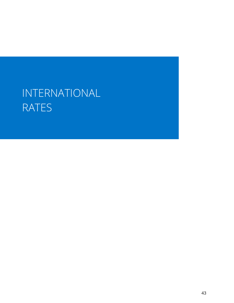## INTERNATIONAL RATES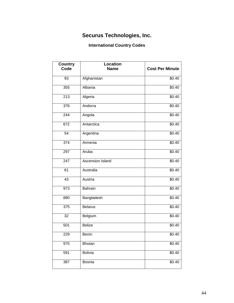#### **Securus Technologies, Inc.**

#### **International Country Codes**

| <b>Country</b> | <b>Location</b>  |                        |
|----------------|------------------|------------------------|
| Code           | <b>Name</b>      | <b>Cost Per Minute</b> |
| 93             | Afghanistan      | \$0.40                 |
| 355            | Albania          | \$0.40                 |
| 213            | Algeria          | \$0.40                 |
| 376            | Andorra          | \$0.40                 |
| 244            | Angola           | \$0.40                 |
| 672            | Antarctica       | \$0.40                 |
| 54             | Argentina        | \$0.40                 |
| 374            | Armenia          | \$0.40                 |
| 297            | Aruba            | \$0.40                 |
| 247            | Ascension Island | \$0.40                 |
| 61             | Australia        | \$0.40                 |
| 43             | Austria          | \$0.40                 |
| 973            | Bahrain          | \$0.40                 |
| 880            | Bangladesh       | \$0.40                 |
| 375            | Belarus          | \$0.40                 |
| 32             | Belgium          | \$0.40                 |
| 501            | <b>Belize</b>    | \$0.40                 |
| 229            | Benin            | \$0.40                 |
| 975            | Bhutan           | \$0.40                 |
| 591            | Bolivia          | \$0.40                 |
| 387            | Bosnia           | $\sqrt{$0.40}$         |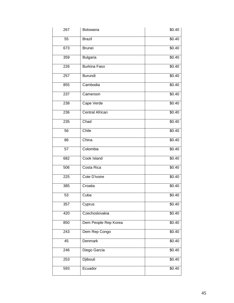| 267 | <b>Botswana</b>        | \$0.40 |
|-----|------------------------|--------|
| 55  | <b>Brazil</b>          | \$0.40 |
| 673 | <b>Brunei</b>          | \$0.40 |
| 359 | <b>Bulgaria</b>        | \$0.40 |
| 226 | <b>Burkina Faso</b>    | \$0.40 |
| 257 | <b>Burundi</b>         | \$0.40 |
| 855 | Cambodia               | \$0.40 |
| 237 | Cameroon               | \$0.40 |
| 238 | Cape Verde             | \$0.40 |
| 236 | <b>Central African</b> | \$0.40 |
| 235 | Chad                   | \$0.40 |
| 56  | Chile                  | \$0.40 |
| 86  | China                  | \$0.40 |
| 57  | Colombia               | \$0.40 |
| 682 | Cook Island            | \$0.40 |
| 506 | Costa Rica             | \$0.40 |
| 225 | Cote D'ivoire          | \$0.40 |
| 385 | Croatia                | \$0.40 |
| 53  | Cuba                   | \$0.40 |
| 357 | Cyprus                 | \$0.40 |
| 420 | Czechoslovakia         | \$0.40 |
| 850 | Dem People Rep Korea   | \$0.40 |
| 243 | Dem Rep Congo          | \$0.40 |
| 45  | Denmark                | \$0.40 |
| 246 | Diego Garcia           | \$0.40 |
| 253 | Djibouti               | \$0.40 |
| 593 | Ecuador                | \$0.40 |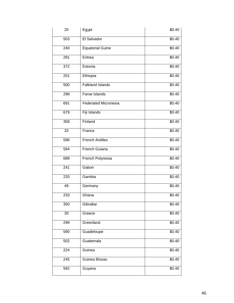| 20  | Egypt                       | \$0.40             |
|-----|-----------------------------|--------------------|
| 503 | El Salvador                 | \$0.40             |
| 240 | <b>Equatorial Guine</b>     | \$0.40             |
| 291 | Eritrea                     | \$0.40             |
| 372 | Estonia                     | \$0.40             |
| 251 | Ethiopia                    | \$0.40             |
| 500 | <b>Falkland Islands</b>     | \$0.40             |
| 298 | Faroe Islands               | \$0.40             |
| 691 | <b>Federated Micronesia</b> | \$0.40             |
| 679 | Fiji Islands                | \$0.40             |
| 358 | Finland                     | \$0.40             |
| 33  | France                      | \$0.40             |
| 596 | <b>French Antilles</b>      | \$0.40             |
| 594 | French Guiana               | \$0.40             |
| 689 | French Polynesia            | \$0.40             |
| 241 | Gabon                       | \$0.40             |
| 220 | Gambia                      | \$0.40             |
| 49  | Germany                     | \$0.40             |
| 233 | Ghana                       | \$0.40             |
| 350 | Gibraltar                   | $\overline{$}0.40$ |
| 30  | Greece                      | \$0.40             |
| 299 | Greenland                   | \$0.40             |
| 590 | Guadeloupe                  | \$0.40             |
| 502 | Guatemala                   | \$0.40             |
| 224 | Guinea                      | \$0.40             |
| 245 | Guinea Bissau               | \$0.40             |
| 592 | Guyana                      | \$0.40             |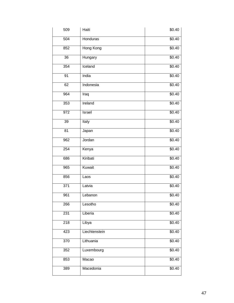| 509 | Haiti         | \$0.40             |
|-----|---------------|--------------------|
| 504 | Honduras      | \$0.40             |
| 852 | Hong Kong     | \$0.40             |
| 36  | Hungary       | \$0.40             |
| 354 | Iceland       | \$0.40             |
| 91  | India         | \$0.40             |
| 62  | Indonesia     | \$0.40             |
| 964 | Iraq          | \$0.40             |
| 353 | Ireland       | \$0.40             |
| 972 | Israel        | \$0.40             |
| 39  | Italy         | \$0.40             |
| 81  | Japan         | \$0.40             |
| 962 | Jordan        | \$0.40             |
| 254 | Kenya         | \$0.40             |
| 686 | Kiribati      | \$0.40             |
| 965 | Kuwait        | \$0.40             |
| 856 | Laos          | \$0.40             |
| 371 | Latvia        | \$0.40             |
| 961 | Lebanon       | \$0.40             |
| 266 | Lesotho       | \$0.40             |
| 231 | Liberia       | $\overline{$}0.40$ |
| 218 | Libya         | \$0.40             |
| 423 | Liechtenstein | \$0.40             |
| 370 | Lithuania     | \$0.40             |
| 352 | Luxembourg    | \$0.40             |
| 853 | Macao         | \$0.40             |
| 389 | Macedonia     | \$0.40             |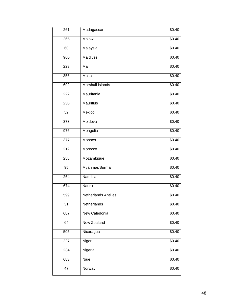| 261 | Madagascar                  | \$0.40 |
|-----|-----------------------------|--------|
| 265 | Malawi                      | \$0.40 |
| 60  | Malaysia                    | \$0.40 |
| 960 | Maldives                    | \$0.40 |
| 223 | Mali                        | \$0.40 |
| 356 | Malta                       | \$0.40 |
| 692 | Marshall Islands            | \$0.40 |
| 222 | Mauritania                  | \$0.40 |
| 230 | <b>Mauritius</b>            | \$0.40 |
| 52  | Mexico                      | \$0.40 |
| 373 | Moldova                     | \$0.40 |
| 976 | Mongolia                    | \$0.40 |
| 377 | Monaco                      | \$0.40 |
| 212 | Morocco                     | \$0.40 |
| 258 | Mozambique                  | \$0.40 |
| 95  | Myanmar/Burma               | \$0.40 |
| 264 | Namibia                     | \$0.40 |
| 674 | Nauru                       | \$0.40 |
| 599 | <b>Netherlands Antilles</b> | \$0.40 |
| 31  | Netherlands                 | \$0.40 |
| 687 | New Caledonia               | \$0.40 |
| 64  | New Zealand                 | \$0.40 |
| 505 | Nicaragua                   | \$0.40 |
| 227 | Niger                       | \$0.40 |
| 234 | Nigeria                     | \$0.40 |
| 683 | Niue                        | \$0.40 |
| 47  | Norway                      | \$0.40 |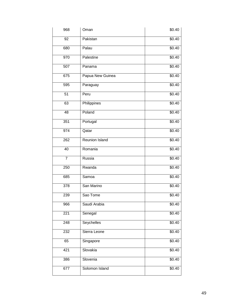| 968            | Oman             | \$0.40 |
|----------------|------------------|--------|
| 92             | Pakistan         | \$0.40 |
| 680            | Palau            | \$0.40 |
| 970            | Palestine        | \$0.40 |
| 507            | Panama           | \$0.40 |
| 675            | Papua New Guinea | \$0.40 |
| 595            | Paraguay         | \$0.40 |
| 51             | Peru             | \$0.40 |
| 63             | Philippines      | \$0.40 |
| 48             | Poland           | \$0.40 |
| 351            | Portugal         | \$0.40 |
| 974            | Qatar            | \$0.40 |
| 262            | Reunion Island   | \$0.40 |
| 40             | Romania          | \$0.40 |
| $\overline{7}$ | Russia           | \$0.40 |
| 250            | Rwanda           | \$0.40 |
| 685            | Samoa            | \$0.40 |
| 378            | San Marino       | \$0.40 |
| 239            | Sao Tome         | \$0.40 |
| 966            | Saudi Arabia     | \$0.40 |
| 221            | Senegal          | \$0.40 |
| 248            | Seychelles       | \$0.40 |
| 232            | Sierra Leone     | \$0.40 |
| 65             | Singapore        | \$0.40 |
| 421            | Slovakia         | \$0.40 |
| 386            | Slovenia         | \$0.40 |
| 677            | Solomon Island   | \$0.40 |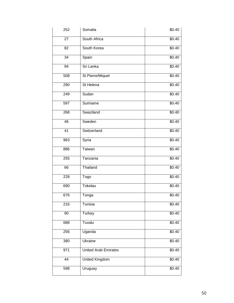| 252 | Somalia              | \$0.40 |
|-----|----------------------|--------|
| 27  | South Africa         | \$0.40 |
| 82  | South Korea          | \$0.40 |
| 34  | Spain                | \$0.40 |
| 94  | Sri Lanka            | \$0.40 |
| 508 | St Pierre/Miquel     | \$0.40 |
| 290 | St Helena            | \$0.40 |
| 249 | Sudan                | \$0.40 |
| 597 | Suriname             | \$0.40 |
| 268 | Swaziland            | \$0.40 |
| 46  | Sweden               | \$0.40 |
| 41  | Switzerland          | \$0.40 |
| 963 | Syria                | \$0.40 |
| 886 | Taiwan               | \$0.40 |
| 255 | Tanzania             | \$0.40 |
| 66  | Thailand             | \$0.40 |
| 228 | Togo                 | \$0.40 |
| 690 | Tokelau              | \$0.40 |
| 676 | Tonga                | \$0.40 |
| 216 | Tunisia              | \$0.40 |
| 90  | <b>Turkey</b>        | \$0.40 |
| 688 | Tuvalu               | \$0.40 |
| 256 | Uganda               | \$0.40 |
| 380 | Ukraine              | \$0.40 |
| 971 | United Arab Emirates | \$0.40 |
| 44  | United Kingdom       | \$0.40 |
| 598 | Uruguay              | \$0.40 |